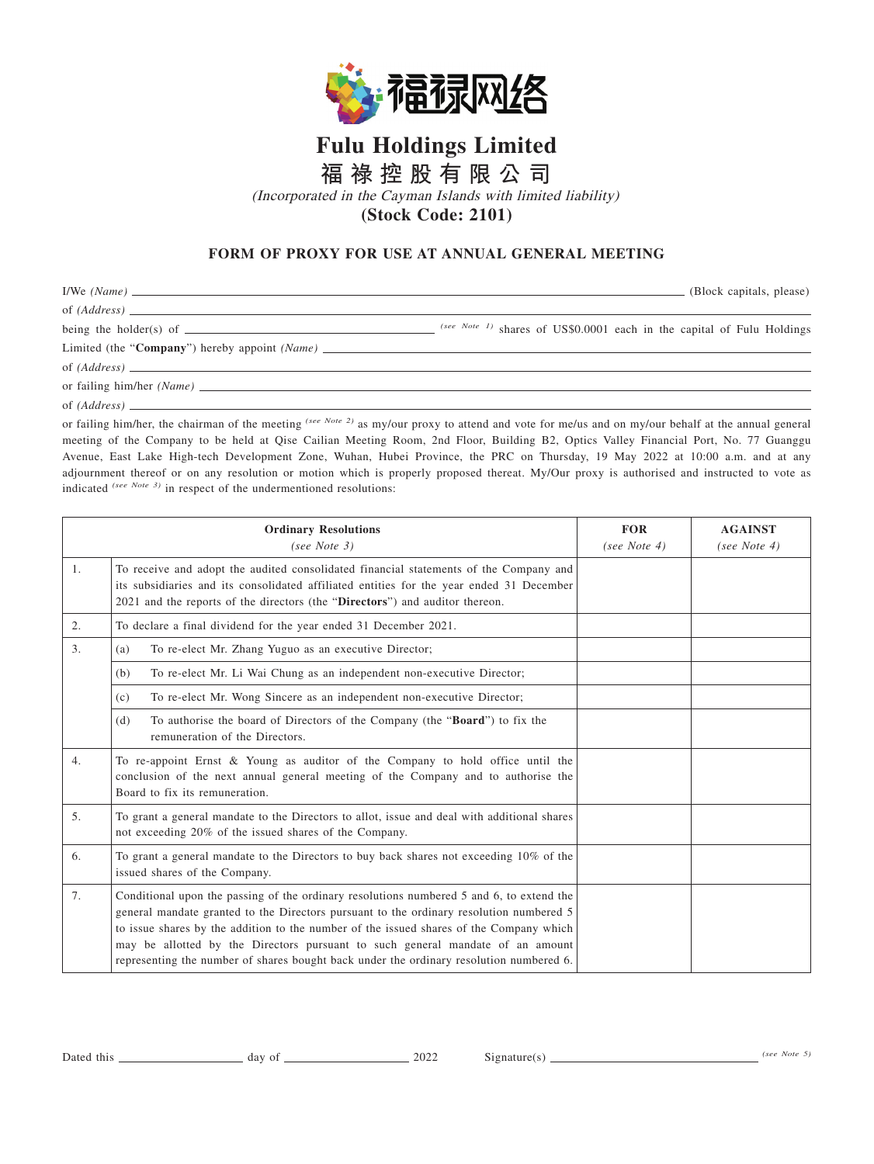

## **Fulu Holdings Limited**

**福 祿 控 股 有 限 公 司**

(Incorporated in the Cayman Islands with limited liability)

## **(Stock Code: 2101)**

## **FORM OF PROXY FOR USE AT ANNUAL GENERAL MEETING**

|                                                                                   | (Block capitals, please)                                                 |
|-----------------------------------------------------------------------------------|--------------------------------------------------------------------------|
|                                                                                   |                                                                          |
| being the holder(s) of $\sqrt{\frac{1}{1-\frac{1}{2}} + \frac{1}{2-\frac{1}{2}}}$ | $(see Note 1)$ shares of US\$0.0001 each in the capital of Fulu Holdings |
|                                                                                   |                                                                          |
| of $(Address)$                                                                    |                                                                          |
|                                                                                   |                                                                          |
| of (Address)                                                                      |                                                                          |

or failing him/her, the chairman of the meeting *(see Note 2)* as my/our proxy to attend and vote for me/us and on my/our behalf at the annual general meeting of the Company to be held at Qise Cailian Meeting Room, 2nd Floor, Building B2, Optics Valley Financial Port, No. 77 Guanggu Avenue, East Lake High-tech Development Zone, Wuhan, Hubei Province, the PRC on Thursday, 19 May 2022 at 10:00 a.m. and at any adjournment thereof or on any resolution or motion which is properly proposed thereat. My/Our proxy is authorised and instructed to vote as indicated *(see Note 3)* in respect of the undermentioned resolutions:

| <b>Ordinary Resolutions</b><br>(see Note $3)$ |                                                                                                                                                                                                                                                                                                                                                                                                                                                             | <b>FOR</b><br>(see Note $4$ ) | <b>AGAINST</b><br>(see Note 4) |
|-----------------------------------------------|-------------------------------------------------------------------------------------------------------------------------------------------------------------------------------------------------------------------------------------------------------------------------------------------------------------------------------------------------------------------------------------------------------------------------------------------------------------|-------------------------------|--------------------------------|
| $\mathbf{1}$ .                                | To receive and adopt the audited consolidated financial statements of the Company and<br>its subsidiaries and its consolidated affiliated entities for the year ended 31 December<br>2021 and the reports of the directors (the "Directors") and auditor thereon.                                                                                                                                                                                           |                               |                                |
| 2.                                            | To declare a final dividend for the year ended 31 December 2021.                                                                                                                                                                                                                                                                                                                                                                                            |                               |                                |
| 3.                                            | To re-elect Mr. Zhang Yuguo as an executive Director;<br>(a)                                                                                                                                                                                                                                                                                                                                                                                                |                               |                                |
|                                               | (b)<br>To re-elect Mr. Li Wai Chung as an independent non-executive Director;                                                                                                                                                                                                                                                                                                                                                                               |                               |                                |
|                                               | To re-elect Mr. Wong Sincere as an independent non-executive Director;<br>(c)                                                                                                                                                                                                                                                                                                                                                                               |                               |                                |
|                                               | To authorise the board of Directors of the Company (the " <b>Board</b> ") to fix the<br>(d)<br>remuneration of the Directors.                                                                                                                                                                                                                                                                                                                               |                               |                                |
| 4.                                            | To re-appoint Ernst & Young as auditor of the Company to hold office until the<br>conclusion of the next annual general meeting of the Company and to authorise the<br>Board to fix its remuneration.                                                                                                                                                                                                                                                       |                               |                                |
| 5 <sub>1</sub>                                | To grant a general mandate to the Directors to allot, issue and deal with additional shares<br>not exceeding 20% of the issued shares of the Company.                                                                                                                                                                                                                                                                                                       |                               |                                |
| 6.                                            | To grant a general mandate to the Directors to buy back shares not exceeding 10% of the<br>issued shares of the Company.                                                                                                                                                                                                                                                                                                                                    |                               |                                |
| 7.                                            | Conditional upon the passing of the ordinary resolutions numbered 5 and 6, to extend the<br>general mandate granted to the Directors pursuant to the ordinary resolution numbered 5<br>to issue shares by the addition to the number of the issued shares of the Company which<br>may be allotted by the Directors pursuant to such general mandate of an amount<br>representing the number of shares bought back under the ordinary resolution numbered 6. |                               |                                |